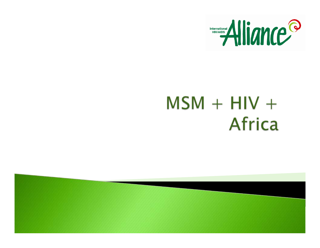

## $MSM + HIV +$ **Africa**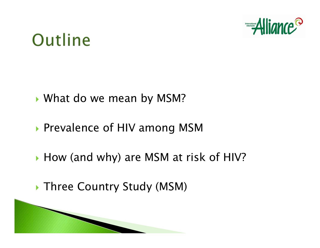

### Outline

- **Notamarking with mean by MSM?**
- **Prevalence of HIV among MSM**
- ▶ How (and why) are MSM at risk of HIV?
- **Three Country Study (MSM)**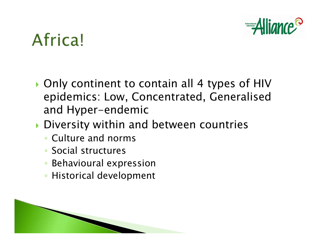

# Africa!

- ▶ Only continent to contain all 4 types of HIV epidemics: Low, Concentrated, Generalised and Hyper-endemic
- **Diversity within and between countries** 
	- Culture and norms
	- Social structures
	- Behavioural expression
	- Historical development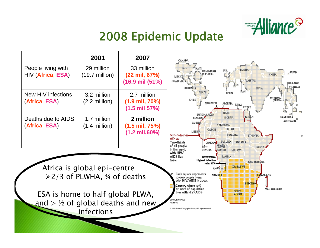

#### 2008 Epidemic Update

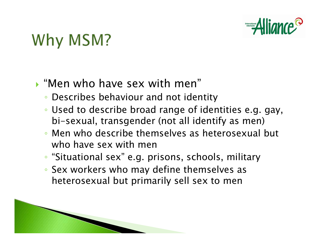

# Why MSM?

#### $\blacktriangleright$  "Men who have sex with men"

- Describes behaviour and not identity
- Used to describe broad range of identities e.g. gay, bi-sexual, transgender (not all identify as men)
- Men who describe themselves as heterosexual but who have sex with men
- "Situational sex" e.g. prisons, schools, military
- Sex workers who may define themselves as heterosexual but primarily sell sex to men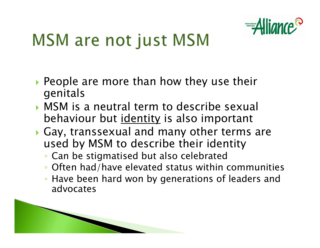

# **MSM are not just MSM**

- $\blacktriangleright$  People are more than how they use their genitals
- $\triangleright$  MSM is a neutral term to describe sexual behaviour but identity is also important
- $\blacktriangleright$  Gay, transsexual and many other terms are used by MSM to describe their identity
	- Can be stigmatised but also celebrated
	- Often had/have elevated status within communities
	- Have been hard won by generations of leaders and advocates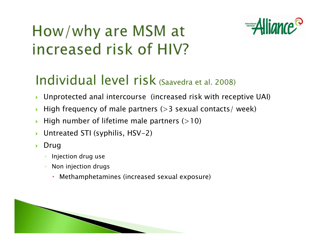

### How/why are MSM at increased risk of HIV?

#### Individual level risk (Saavedra et al. 2008)

- $\blacktriangleright$ Unprotected anal intercourse (increased risk with receptive UAI)
- $\blacktriangleright$ High frequency of male partners  $(>3$  sexual contacts/ week)
- $\blacktriangleright$ High number of lifetime male partners  $(>10)$
- $\blacktriangleright$ Untreated STI (syphilis, HSV-2)
- $\blacktriangleright$  Drug
	- $\bullet$ Injection drug use
	- $\bullet$  Non injection drugs
		- $\bullet$ Methamphetamines (increased sexual exposure)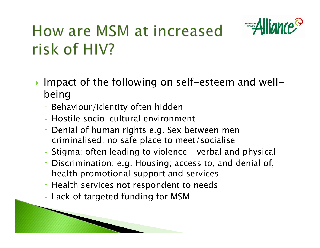

### How are MSM at increased risk of HIV?

- **Impact of the following on self-esteem and well**being
	- Behaviour/identity often hidden
	- Hostile socio-cultural environment
	- Denial of human rights e.g. Sex between men criminalised; no safe place to meet/socialise
	- Stigma: often leading to violence verbal and physical
	- $\bullet$  Discrimination: e.g. Housing; access to, and denial of, health promotional support and services
	- Health services not respondent to needs
	- Lack of targeted funding for MSM

and the contract of the contract of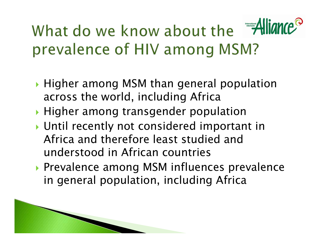## What do we know about the Alli prevalence of HIV among MSM?

- $\blacktriangleright$  Higher among MSM than general population across the world, including Africa
- **Higher among transgender population**
- **I** Until recently not considered important in Africa and therefore least studied and understood in African countries
- **Prevalence among MSM influences prevalence** in general population, including Africa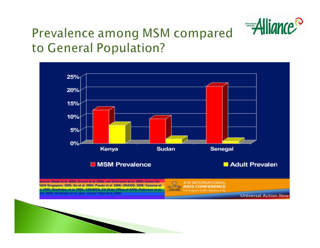

#### Prevalence among MSM compared to General Population?

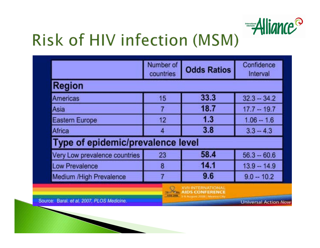

## Risk of HIV infection (MSM)

|                                            | Number of<br>countries | <b>Odds Ratios</b>                                | Confidence<br>Interval      |
|--------------------------------------------|------------------------|---------------------------------------------------|-----------------------------|
| <b>Region</b>                              |                        |                                                   |                             |
| <b>Americas</b>                            | 15                     | 33.3                                              | $32.3 - 34.2$               |
| Asia                                       | 7                      | 18.7                                              | $17.7 - 19.7$               |
| <b>Eastern Europe</b>                      | 12                     | 1.3                                               | $1.06 - 1.6$                |
| Africa                                     | $\overline{4}$         | 3.8                                               | $3.3 - 4.3$                 |
| Type of epidemic/prevalence level          |                        |                                                   |                             |
| Very Low prevalence countries              | 23                     | 58.4                                              | $56.3 - 60.6$               |
| <b>Low Prevalence</b>                      | 8                      | 14.1                                              | $13.9 - 14.9$               |
| Medium /High Prevalence                    |                        | 9.6                                               | $9.0 - 10.2$                |
|                                            |                        | <b>XVIHNTERNATIONAL</b><br><b>AIDS CONFERENCE</b> |                             |
| Source: Baral, et al. 2007, PLOS Medicine. | Artis Jane             | 3-9 August 2030   Member Dr                       | <b>Universal Action Now</b> |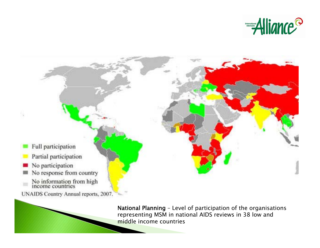



National Planning – Level of participation of the organisations representing MSM in national AIDS reviews in 38 low and middle income countries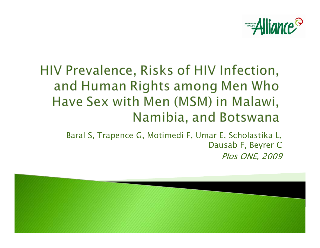

#### HIV Prevalence, Risks of HIV Infection, and Human Rights among Men Who Have Sex with Men (MSM) in Malawi, Namibia, and Botswana

Baral S, Trapence G, Motimedi F, Umar E, Scholastika L, Dausab F, Beyrer C Plos ONE, 2009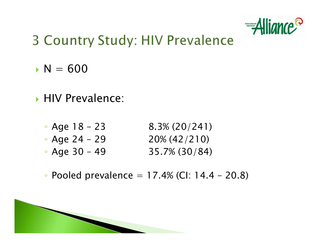

#### **3 Country Study: HIV Prevalence**

- $\cdot$  N = 600
- **HIV Prevalence:** 
	- ◦ $8.3\% (20/241)$
	- $\bullet$  Age 24 29  $\hspace{1.6cm}$  20% (42/210)
	- ◦Age 30 – 49 35.7% (30/84)
	- Pooled prevalence  $= 17.4\%$  (CI: 14.4 20.8)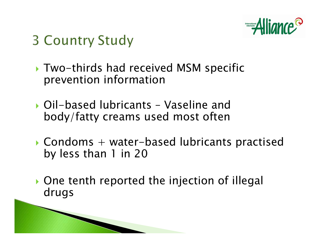

### **3 Country Study**

- Two-thirds had received MSM specific prevention information
- ` Oil-based lubricants Vaseline and body/fatty creams used most often
- $\blacktriangleright$  Condoms + water-based lubricants practised by less than 1 in 20
- **One tenth reported the injection of illegal** drugs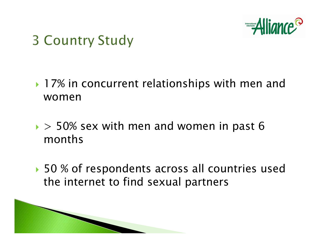

### **3 Country Study**

- ▶ 17% in concurrent relationships with men and women
- $\rightarrow$  50% sex with men and women in past 6 months
- ▶ 50 % of respondents across all countries used the internet to find sexual partners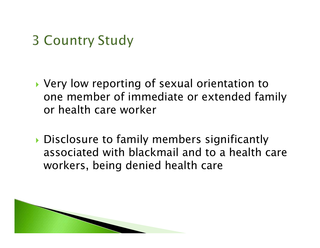### **3 Country Study**

- ▶ Very low reporting of sexual orientation to one member of immediate or extended family or health care worker
- Disclosure to family members significantly associated with blackmail and to a health care workers, being denied health care